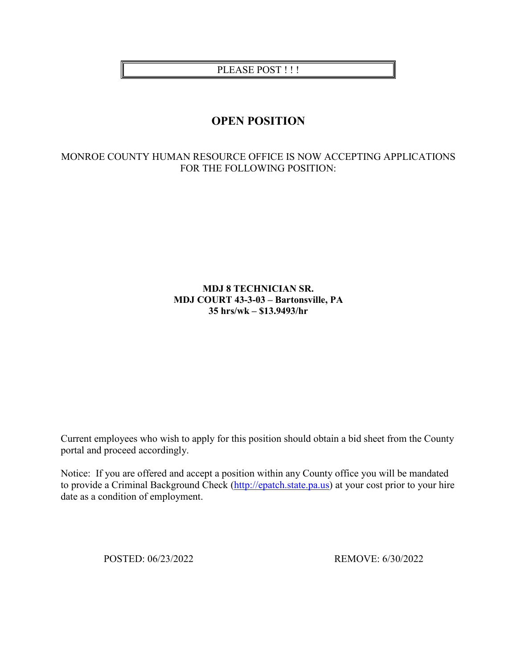PLEASE POST !!!

# **OPEN POSITION**

# MONROE COUNTY HUMAN RESOURCE OFFICE IS NOW ACCEPTING APPLICATIONS FOR THE FOLLOWING POSITION:

# **MDJ 8 TECHNICIAN SR. MDJ COURT 43-3-03 – Bartonsville, PA 35 hrs/wk – \$13.9493/hr**

Current employees who wish to apply for this position should obtain a bid sheet from the County portal and proceed accordingly.

Notice: If you are offered and accept a position within any County office you will be mandated to provide a Criminal Background Check [\(http://epatch.state.pa.us\)](http://epatch.state.pa.us/) at your cost prior to your hire date as a condition of employment.

POSTED: 06/23/2022 REMOVE: 6/30/2022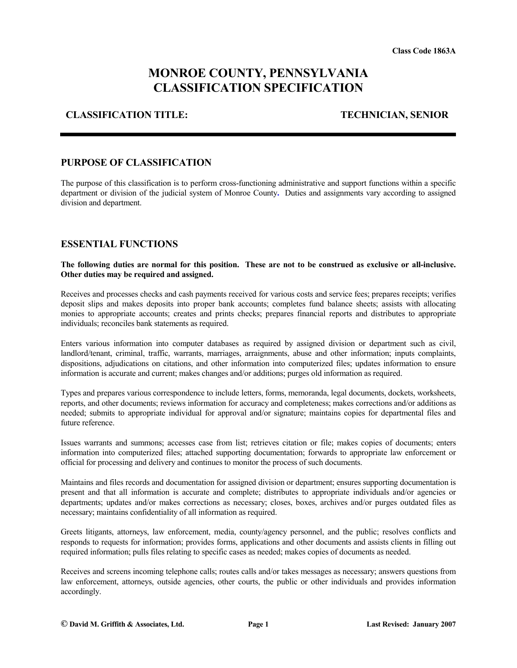# **MONROE COUNTY, PENNSYLVANIA CLASSIFICATION SPECIFICATION**

#### **CLASSIFICATION TITLE: TECHNICIAN, SENIOR**

#### **PURPOSE OF CLASSIFICATION**

The purpose of this classification is to perform cross-functioning administrative and support functions within a specific department or division of the judicial system of Monroe County**.** Duties and assignments vary according to assigned division and department.

### **ESSENTIAL FUNCTIONS**

#### **The following duties are normal for this position. These are not to be construed as exclusive or all-inclusive. Other duties may be required and assigned.**

Receives and processes checks and cash payments received for various costs and service fees; prepares receipts; verifies deposit slips and makes deposits into proper bank accounts; completes fund balance sheets; assists with allocating monies to appropriate accounts; creates and prints checks; prepares financial reports and distributes to appropriate individuals; reconciles bank statements as required.

Enters various information into computer databases as required by assigned division or department such as civil, landlord/tenant, criminal, traffic, warrants, marriages, arraignments, abuse and other information; inputs complaints, dispositions, adjudications on citations, and other information into computerized files; updates information to ensure information is accurate and current; makes changes and/or additions; purges old information as required.

Types and prepares various correspondence to include letters, forms, memoranda, legal documents, dockets, worksheets, reports, and other documents; reviews information for accuracy and completeness; makes corrections and/or additions as needed; submits to appropriate individual for approval and/or signature; maintains copies for departmental files and future reference.

Issues warrants and summons; accesses case from list; retrieves citation or file; makes copies of documents; enters information into computerized files; attached supporting documentation; forwards to appropriate law enforcement or official for processing and delivery and continues to monitor the process of such documents.

Maintains and files records and documentation for assigned division or department; ensures supporting documentation is present and that all information is accurate and complete; distributes to appropriate individuals and/or agencies or departments; updates and/or makes corrections as necessary; closes, boxes, archives and/or purges outdated files as necessary; maintains confidentiality of all information as required.

Greets litigants, attorneys, law enforcement, media, county/agency personnel, and the public; resolves conflicts and responds to requests for information; provides forms, applications and other documents and assists clients in filling out required information; pulls files relating to specific cases as needed; makes copies of documents as needed.

Receives and screens incoming telephone calls; routes calls and/or takes messages as necessary; answers questions from law enforcement, attorneys, outside agencies, other courts, the public or other individuals and provides information accordingly.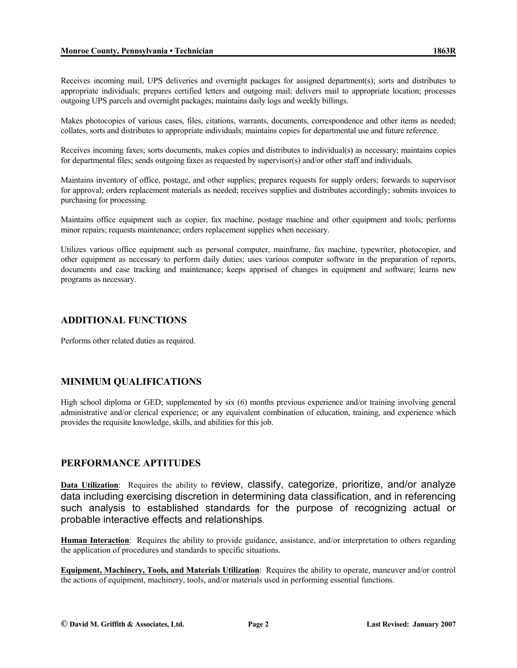Receives incoming mail, UPS deliveries and overnight packages for assigned department(s); sorts and distributes to appropriate individuals; prepares certified letters and outgoing mail; delivers mail to appropriate location; processes outgoing UPS parcels and overnight packages; maintains daily logs and weekly billings.

Makes photocopies of various cases, files, citations, warrants, documents, correspondence and other items as needed; collates, sorts and distributes to appropriate individuals; maintains copies for departmental use and future reference.

Receives incoming faxes; sorts documents, makes copies and distributes to individual(s) as necessary; maintains copies for departmental files; sends outgoing faxes as requested by supervisor(s) and/or other staff and individuals.

Maintains inventory of office, postage, and other supplies; prepares requests for supply orders; forwards to supervisor for approval; orders replacement materials as needed; receives supplies and distributes accordingly; submits invoices to purchasing for processing.

Maintains office equipment such as copier, fax machine, postage machine and other equipment and tools; performs minor repairs; requests maintenance; orders replacement supplies when necessary.

Utilizes various office equipment such as personal computer, mainframe, fax machine, typewriter, photocopier, and other equipment as necessary to perform daily duties; uses various computer software in the preparation of reports, documents and case tracking and maintenance; keeps apprised of changes in equipment and software; learns new programs as necessary.

# **ADDITIONAL FUNCTIONS**

Performs other related duties as required.

# **MINIMUM QUALIFICATIONS**

High school diploma or GED; supplemented by six (6) months previous experience and/or training involving general administrative and/or clerical experience; or any equivalent combination of education, training, and experience which provides the requisite knowledge, skills, and abilities for this job.

# **PERFORMANCE APTITUDES**

**Data Utilization:** Requires the ability to review, classify, categorize, prioritize, and/or analyze data including exercising discretion in determining data classification, and in referencing such analysis to established standards for the purpose of recognizing actual or probable interactive effects and relationships.

**Human Interaction**: Requires the ability to provide guidance, assistance, and/or interpretation to others regarding the application of procedures and standards to specific situations.

**Equipment, Machinery, Tools, and Materials Utilization**: Requires the ability to operate, maneuver and/or control the actions of equipment, machinery, tools, and/or materials used in performing essential functions.